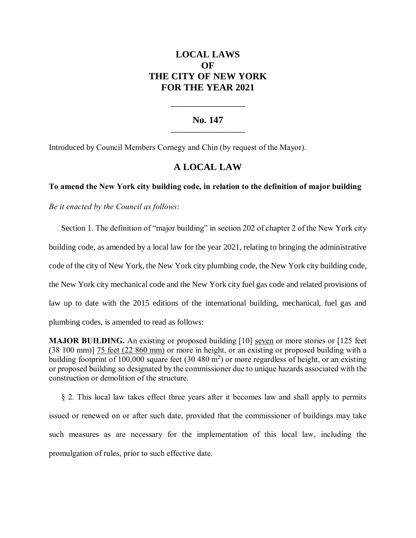# **LOCAL LAWS OF THE CITY OF NEW YORK FOR THE YEAR 2021**

## **No. 147 \_\_\_\_\_\_\_\_\_\_\_\_\_\_\_\_\_\_\_\_\_\_**

**\_\_\_\_\_\_\_\_\_\_\_\_\_\_\_\_\_\_\_\_\_\_**

Introduced by Council Members Cornegy and Chin (by request of the Mayor).

## **A LOCAL LAW**

### **To amend the New York city building code, in relation to the definition of major building**

*Be it enacted by the Council as follows:*

Section 1. The definition of "major building" in section 202 of chapter 2 of the New York city building code, as amended by a local law for the year 2021, relating to bringing the administrative code of the city of New York, the New York city plumbing code, the New York city building code, the New York city mechanical code and the New York city fuel gas code and related provisions of law up to date with the 2015 editions of the international building, mechanical, fuel gas and plumbing codes, is amended to read as follows:

**MAJOR BUILDING.** An existing or proposed building [10] seven or more stories or [125 feet (38 100 mm)] 75 feet (22 860 mm) or more in height, or an existing or proposed building with a building footprint of 100,000 square feet  $(30\,480\,\text{m}^2)$  or more regardless of height, or an existing or proposed building so designated by the commissioner due to unique hazards associated with the construction or demolition of the structure.

§ 2. This local law takes effect three years after it becomes law and shall apply to permits issued or renewed on or after such date, provided that the commissioner of buildings may take such measures as are necessary for the implementation of this local law, including the promulgation of rules, prior to such effective date.